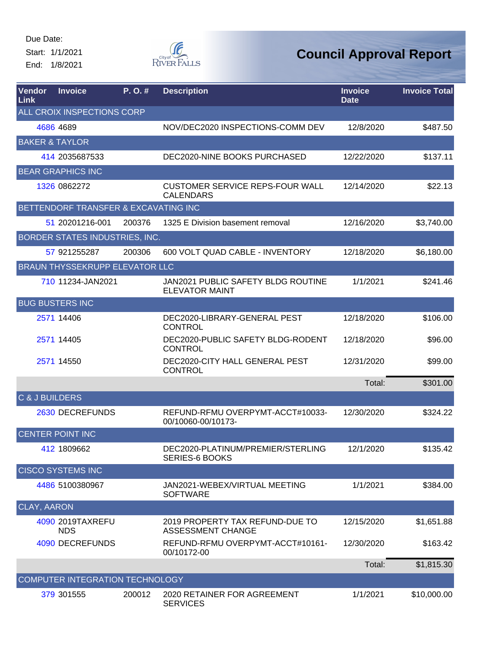Start: 1/1/2021 End: 1/8/2021



| Vendor<br>Link                    | <b>Invoice</b>                        | P.O.#  | <b>Description</b>                                          | <b>Invoice</b><br><b>Date</b> | <b>Invoice Total</b> |  |
|-----------------------------------|---------------------------------------|--------|-------------------------------------------------------------|-------------------------------|----------------------|--|
| <b>ALL CROIX INSPECTIONS CORP</b> |                                       |        |                                                             |                               |                      |  |
|                                   | 4686 4689                             |        | NOV/DEC2020 INSPECTIONS-COMM DEV                            | 12/8/2020                     | \$487.50             |  |
| <b>BAKER &amp; TAYLOR</b>         |                                       |        |                                                             |                               |                      |  |
|                                   | 414 2035687533                        |        | DEC2020-NINE BOOKS PURCHASED                                | 12/22/2020                    | \$137.11             |  |
|                                   | <b>BEAR GRAPHICS INC</b>              |        |                                                             |                               |                      |  |
|                                   | 1326 0862272                          |        | <b>CUSTOMER SERVICE REPS-FOUR WALL</b><br><b>CALENDARS</b>  | 12/14/2020                    | \$22.13              |  |
|                                   | BETTENDORF TRANSFER & EXCAVATING INC  |        |                                                             |                               |                      |  |
|                                   | 51 20201216-001                       | 200376 | 1325 E Division basement removal                            | 12/16/2020                    | \$3,740.00           |  |
|                                   | BORDER STATES INDUSTRIES, INC.        |        |                                                             |                               |                      |  |
|                                   | 57 921255287                          | 200306 | 600 VOLT QUAD CABLE - INVENTORY                             | 12/18/2020                    | \$6,180.00           |  |
|                                   | <b>BRAUN THYSSEKRUPP ELEVATOR LLC</b> |        |                                                             |                               |                      |  |
|                                   | 710 11234-JAN2021                     |        | JAN2021 PUBLIC SAFETY BLDG ROUTINE<br><b>ELEVATOR MAINT</b> | 1/1/2021                      | \$241.46             |  |
|                                   | <b>BUG BUSTERS INC</b>                |        |                                                             |                               |                      |  |
|                                   | 2571 14406                            |        | DEC2020-LIBRARY-GENERAL PEST<br><b>CONTROL</b>              | 12/18/2020                    | \$106.00             |  |
|                                   | 2571 14405                            |        | DEC2020-PUBLIC SAFETY BLDG-RODENT<br><b>CONTROL</b>         | 12/18/2020                    | \$96.00              |  |
|                                   | 2571 14550                            |        | DEC2020-CITY HALL GENERAL PEST<br><b>CONTROL</b>            | 12/31/2020                    | \$99.00              |  |
|                                   |                                       |        |                                                             | Total:                        | \$301.00             |  |
| C & J BUILDERS                    |                                       |        |                                                             |                               |                      |  |
|                                   | 2630 DECREFUNDS                       |        | REFUND-RFMU OVERPYMT-ACCT#10033-<br>00/10060-00/10173-      | 12/30/2020                    | \$324.22             |  |
|                                   | <b>CENTER POINT INC</b>               |        |                                                             |                               |                      |  |
|                                   | 412 1809662                           |        | DEC2020-PLATINUM/PREMIER/STERLING<br><b>SERIES-6 BOOKS</b>  | 12/1/2020                     | \$135.42             |  |
|                                   | <b>CISCO SYSTEMS INC</b>              |        |                                                             |                               |                      |  |
|                                   | 4486 5100380967                       |        | JAN2021-WEBEX/VIRTUAL MEETING<br><b>SOFTWARE</b>            | 1/1/2021                      | \$384.00             |  |
| <b>CLAY, AARON</b>                |                                       |        |                                                             |                               |                      |  |
|                                   | 4090 2019TAXREFU<br><b>NDS</b>        |        | 2019 PROPERTY TAX REFUND-DUE TO<br>ASSESSMENT CHANGE        | 12/15/2020                    | \$1,651.88           |  |
|                                   | 4090 DECREFUNDS                       |        | REFUND-RFMU OVERPYMT-ACCT#10161-<br>00/10172-00             | 12/30/2020                    | \$163.42             |  |
|                                   |                                       |        |                                                             | Total:                        | \$1,815.30           |  |
|                                   | COMPUTER INTEGRATION TECHNOLOGY       |        |                                                             |                               |                      |  |
|                                   | 379 301555                            | 200012 | 2020 RETAINER FOR AGREEMENT<br><b>SERVICES</b>              | 1/1/2021                      | \$10,000.00          |  |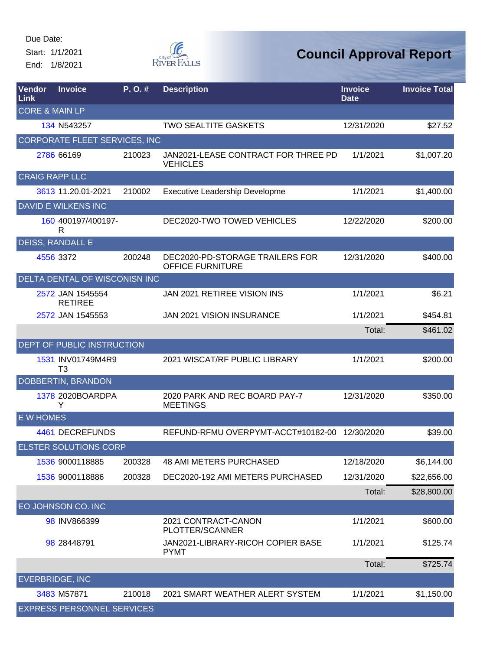Start: 1/1/2021 End: 1/8/2021



| Vendor<br>Link   | <b>Invoice</b>                       | P.O.#  | <b>Description</b>                                         | <b>Invoice</b><br><b>Date</b> | <b>Invoice Total</b> |
|------------------|--------------------------------------|--------|------------------------------------------------------------|-------------------------------|----------------------|
|                  | <b>CORE &amp; MAIN LP</b>            |        |                                                            |                               |                      |
|                  | 134 N543257                          |        | <b>TWO SEALTITE GASKETS</b>                                | 12/31/2020                    | \$27.52              |
|                  | <b>CORPORATE FLEET SERVICES, INC</b> |        |                                                            |                               |                      |
|                  | 2786 66169                           | 210023 | JAN2021-LEASE CONTRACT FOR THREE PD<br><b>VEHICLES</b>     | 1/1/2021                      | \$1,007.20           |
|                  | <b>CRAIG RAPP LLC</b>                |        |                                                            |                               |                      |
|                  | 3613 11.20.01-2021                   | 210002 | <b>Executive Leadership Developme</b>                      | 1/1/2021                      | \$1,400.00           |
|                  | <b>DAVID E WILKENS INC</b>           |        |                                                            |                               |                      |
|                  | 160 400197/400197-<br>R              |        | DEC2020-TWO TOWED VEHICLES                                 | 12/22/2020                    | \$200.00             |
|                  | <b>DEISS, RANDALL E</b>              |        |                                                            |                               |                      |
|                  | 4556 3372                            | 200248 | DEC2020-PD-STORAGE TRAILERS FOR<br><b>OFFICE FURNITURE</b> | 12/31/2020                    | \$400.00             |
|                  | DELTA DENTAL OF WISCONISN INC        |        |                                                            |                               |                      |
|                  | 2572 JAN 1545554<br><b>RETIREE</b>   |        | JAN 2021 RETIREE VISION INS                                | 1/1/2021                      | \$6.21               |
|                  | 2572 JAN 1545553                     |        | JAN 2021 VISION INSURANCE                                  | 1/1/2021                      | \$454.81             |
|                  |                                      |        |                                                            | Total:                        | \$461.02             |
|                  | DEPT OF PUBLIC INSTRUCTION           |        |                                                            |                               |                      |
|                  | 1531 INV01749M4R9<br>T <sub>3</sub>  |        | 2021 WISCAT/RF PUBLIC LIBRARY                              | 1/1/2021                      | \$200.00             |
|                  | DOBBERTIN, BRANDON                   |        |                                                            |                               |                      |
|                  | 1378 2020BOARDPA<br>Y                |        | 2020 PARK AND REC BOARD PAY-7<br><b>MEETINGS</b>           | 12/31/2020                    | \$350.00             |
| <b>E W HOMES</b> |                                      |        |                                                            |                               |                      |
|                  | 4461 DECREFUNDS                      |        | REFUND-RFMU OVERPYMT-ACCT#10182-00                         | 12/30/2020                    | \$39.00              |
|                  | <b>ELSTER SOLUTIONS CORP</b>         |        |                                                            |                               |                      |
|                  | 1536 9000118885                      | 200328 | <b>48 AMI METERS PURCHASED</b>                             | 12/18/2020                    | \$6,144.00           |
|                  | 1536 9000118886                      | 200328 | DEC2020-192 AMI METERS PURCHASED                           | 12/31/2020                    | \$22,656.00          |
|                  |                                      |        |                                                            | Total:                        | \$28,800.00          |
|                  | EO JOHNSON CO. INC                   |        |                                                            |                               |                      |
|                  | 98 INV866399                         |        | 2021 CONTRACT-CANON<br>PLOTTER/SCANNER                     | 1/1/2021                      | \$600.00             |
|                  | 98 28448791                          |        | JAN2021-LIBRARY-RICOH COPIER BASE<br><b>PYMT</b>           | 1/1/2021                      | \$125.74             |
|                  |                                      |        |                                                            | Total:                        | \$725.74             |
|                  | <b>EVERBRIDGE, INC</b>               |        |                                                            |                               |                      |
|                  | 3483 M57871                          | 210018 | 2021 SMART WEATHER ALERT SYSTEM                            | 1/1/2021                      | \$1,150.00           |
|                  | <b>EXPRESS PERSONNEL SERVICES</b>    |        |                                                            |                               |                      |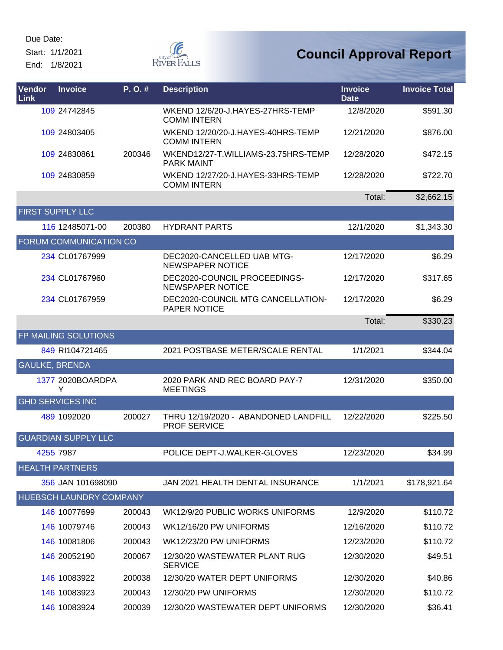Start: 1/1/2021

End: 1/8/2021



| Vendor<br><b>Link</b> | <b>Invoice</b>                 | P. O. # | <b>Description</b>                                          | <b>Invoice</b><br><b>Date</b> | <b>Invoice Total</b> |
|-----------------------|--------------------------------|---------|-------------------------------------------------------------|-------------------------------|----------------------|
|                       | 109 24742845                   |         | WKEND 12/6/20-J.HAYES-27HRS-TEMP<br><b>COMM INTERN</b>      | 12/8/2020                     | \$591.30             |
|                       | 109 24803405                   |         | WKEND 12/20/20-J.HAYES-40HRS-TEMP<br><b>COMM INTERN</b>     | 12/21/2020                    | \$876.00             |
|                       | 109 24830861                   | 200346  | WKEND12/27-T.WILLIAMS-23.75HRS-TEMP<br><b>PARK MAINT</b>    | 12/28/2020                    | \$472.15             |
|                       | 109 24830859                   |         | WKEND 12/27/20-J.HAYES-33HRS-TEMP<br><b>COMM INTERN</b>     | 12/28/2020                    | \$722.70             |
|                       |                                |         |                                                             | Total:                        | \$2,662.15           |
|                       | <b>FIRST SUPPLY LLC</b>        |         |                                                             |                               |                      |
|                       | 116 12485071-00                | 200380  | <b>HYDRANT PARTS</b>                                        | 12/1/2020                     | \$1,343.30           |
|                       | <b>FORUM COMMUNICATION CO</b>  |         |                                                             |                               |                      |
|                       | 234 CL01767999                 |         | DEC2020-CANCELLED UAB MTG-<br><b>NEWSPAPER NOTICE</b>       | 12/17/2020                    | \$6.29               |
|                       | 234 CL01767960                 |         | DEC2020-COUNCIL PROCEEDINGS-<br><b>NEWSPAPER NOTICE</b>     | 12/17/2020                    | \$317.65             |
|                       | 234 CL01767959                 |         | DEC2020-COUNCIL MTG CANCELLATION-<br><b>PAPER NOTICE</b>    | 12/17/2020                    | \$6.29               |
|                       |                                |         |                                                             | Total:                        | \$330.23             |
|                       | FP MAILING SOLUTIONS           |         |                                                             |                               |                      |
|                       | 849 RI104721465                |         | 2021 POSTBASE METER/SCALE RENTAL                            | 1/1/2021                      | \$344.04             |
|                       | <b>GAULKE, BRENDA</b>          |         |                                                             |                               |                      |
|                       | 1377 2020BOARDPA<br>Y          |         | 2020 PARK AND REC BOARD PAY-7<br><b>MEETINGS</b>            | 12/31/2020                    | \$350.00             |
|                       | <b>GHD SERVICES INC</b>        |         |                                                             |                               |                      |
|                       | 489 1092020                    | 200027  | THRU 12/19/2020 - ABANDONED LANDFILL<br><b>PROF SERVICE</b> | 12/22/2020                    | \$225.50             |
|                       | <b>GUARDIAN SUPPLY LLC</b>     |         |                                                             |                               |                      |
|                       | 4255 7987                      |         | POLICE DEPT-J.WALKER-GLOVES                                 | 12/23/2020                    | \$34.99              |
|                       | <b>HEALTH PARTNERS</b>         |         |                                                             |                               |                      |
|                       | 356 JAN 101698090              |         | JAN 2021 HEALTH DENTAL INSURANCE                            | 1/1/2021                      | \$178,921.64         |
|                       | <b>HUEBSCH LAUNDRY COMPANY</b> |         |                                                             |                               |                      |
|                       | 146 10077699                   | 200043  | WK12/9/20 PUBLIC WORKS UNIFORMS                             | 12/9/2020                     | \$110.72             |
|                       | 146 10079746                   | 200043  | WK12/16/20 PW UNIFORMS                                      | 12/16/2020                    | \$110.72             |
|                       | 146 10081806                   | 200043  | WK12/23/20 PW UNIFORMS                                      | 12/23/2020                    | \$110.72             |
|                       | 146 20052190                   | 200067  | 12/30/20 WASTEWATER PLANT RUG<br><b>SERVICE</b>             | 12/30/2020                    | \$49.51              |
|                       | 146 10083922                   | 200038  | 12/30/20 WATER DEPT UNIFORMS                                | 12/30/2020                    | \$40.86              |
|                       | 146 10083923                   | 200043  | 12/30/20 PW UNIFORMS                                        | 12/30/2020                    | \$110.72             |
|                       | 146 10083924                   | 200039  | 12/30/20 WASTEWATER DEPT UNIFORMS                           | 12/30/2020                    | \$36.41              |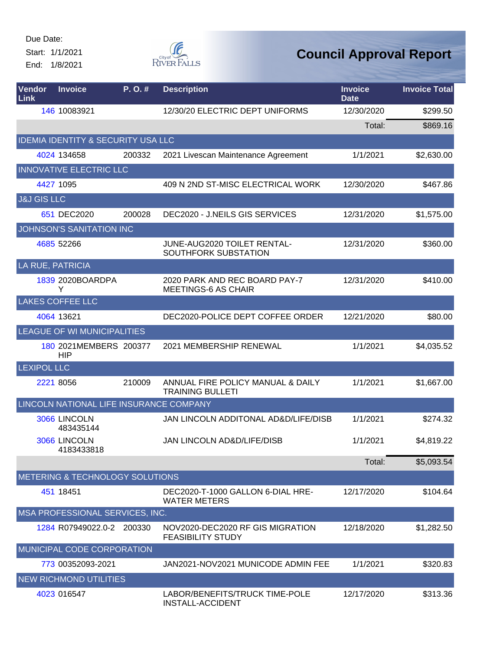Start: 1/1/2021 End: 1/8/2021



| Vendor<br>Link         | <b>Invoice</b>                                | P.O.#  | <b>Description</b>                                           | <b>Invoice</b><br><b>Date</b> | <b>Invoice Total</b> |
|------------------------|-----------------------------------------------|--------|--------------------------------------------------------------|-------------------------------|----------------------|
|                        | 146 10083921                                  |        | 12/30/20 ELECTRIC DEPT UNIFORMS                              | 12/30/2020                    | \$299.50             |
|                        |                                               |        |                                                              | Total:                        | \$869.16             |
|                        | <b>IDEMIA IDENTITY &amp; SECURITY USA LLC</b> |        |                                                              |                               |                      |
|                        | 4024 134658                                   | 200332 | 2021 Livescan Maintenance Agreement                          | 1/1/2021                      | \$2,630.00           |
|                        | <b>INNOVATIVE ELECTRIC LLC</b>                |        |                                                              |                               |                      |
|                        | 4427 1095                                     |        | 409 N 2ND ST-MISC ELECTRICAL WORK                            | 12/30/2020                    | \$467.86             |
| <b>J&amp;J GIS LLC</b> |                                               |        |                                                              |                               |                      |
|                        | 651 DEC2020                                   | 200028 | DEC2020 - J.NEILS GIS SERVICES                               | 12/31/2020                    | \$1,575.00           |
|                        | JOHNSON'S SANITATION INC                      |        |                                                              |                               |                      |
|                        | 4685 52266                                    |        | JUNE-AUG2020 TOILET RENTAL-<br>SOUTHFORK SUBSTATION          | 12/31/2020                    | \$360.00             |
|                        | LA RUE, PATRICIA                              |        |                                                              |                               |                      |
|                        | 1839 2020BOARDPA<br>Y                         |        | 2020 PARK AND REC BOARD PAY-7<br><b>MEETINGS-6 AS CHAIR</b>  | 12/31/2020                    | \$410.00             |
|                        | <b>LAKES COFFEE LLC</b>                       |        |                                                              |                               |                      |
|                        | 4064 13621                                    |        | DEC2020-POLICE DEPT COFFEE ORDER                             | 12/21/2020                    | \$80.00              |
|                        | LEAGUE OF WI MUNICIPALITIES                   |        |                                                              |                               |                      |
|                        | 180 2021MEMBERS 200377<br>HIP                 |        | 2021 MEMBERSHIP RENEWAL                                      | 1/1/2021                      | \$4,035.52           |
| <b>LEXIPOL LLC</b>     |                                               |        |                                                              |                               |                      |
|                        | 2221 8056                                     | 210009 | ANNUAL FIRE POLICY MANUAL & DAILY<br><b>TRAINING BULLETI</b> | 1/1/2021                      | \$1,667.00           |
|                        | LINCOLN NATIONAL LIFE INSURANCE COMPANY       |        |                                                              |                               |                      |
|                        | 3066 LINCOLN<br>483435144                     |        | JAN LINCOLN ADDITONAL AD&D/LIFE/DISB                         | 1/1/2021                      | \$274.32             |
|                        | 3066 LINCOLN<br>4183433818                    |        | <b>JAN LINCOLN AD&amp;D/LIFE/DISB</b>                        | 1/1/2021                      | \$4,819.22           |
|                        |                                               |        |                                                              | Total:                        | \$5,093.54           |
|                        | METERING & TECHNOLOGY SOLUTIONS               |        |                                                              |                               |                      |
|                        | 451 18451                                     |        | DEC2020-T-1000 GALLON 6-DIAL HRE-<br><b>WATER METERS</b>     | 12/17/2020                    | \$104.64             |
|                        | MSA PROFESSIONAL SERVICES, INC.               |        |                                                              |                               |                      |
|                        | 1284 R07949022.0-2 200330                     |        | NOV2020-DEC2020 RF GIS MIGRATION<br><b>FEASIBILITY STUDY</b> | 12/18/2020                    | \$1,282.50           |
|                        | MUNICIPAL CODE CORPORATION                    |        |                                                              |                               |                      |
|                        | 773 00352093-2021                             |        | JAN2021-NOV2021 MUNICODE ADMIN FEE                           | 1/1/2021                      | \$320.83             |
|                        | <b>NEW RICHMOND UTILITIES</b>                 |        |                                                              |                               |                      |
|                        | 4023 016547                                   |        | LABOR/BENEFITS/TRUCK TIME-POLE<br>INSTALL-ACCIDENT           | 12/17/2020                    | \$313.36             |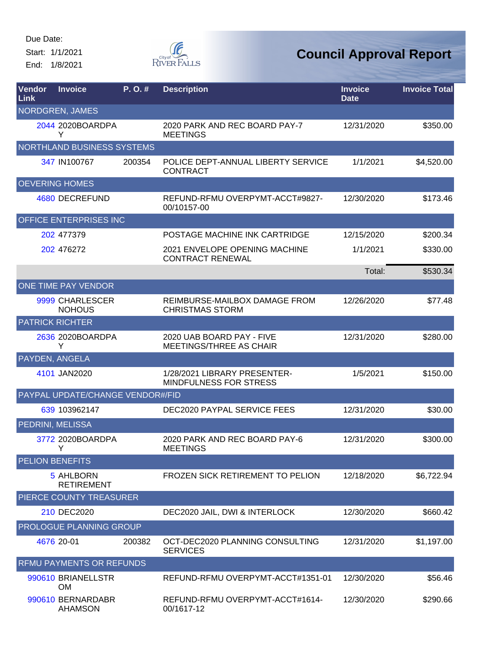Start: 1/1/2021 End: 1/8/2021



| Vendor<br>Link | <b>Invoice</b>                      | P. O.# | <b>Description</b>                                       | <b>Invoice</b><br><b>Date</b> | <b>Invoice Total</b> |
|----------------|-------------------------------------|--------|----------------------------------------------------------|-------------------------------|----------------------|
|                | NORDGREN, JAMES                     |        |                                                          |                               |                      |
|                | 2044 2020BOARDPA<br>Y               |        | 2020 PARK AND REC BOARD PAY-7<br><b>MEETINGS</b>         | 12/31/2020                    | \$350.00             |
|                | NORTHLAND BUSINESS SYSTEMS          |        |                                                          |                               |                      |
|                | 347 IN100767                        | 200354 | POLICE DEPT-ANNUAL LIBERTY SERVICE<br><b>CONTRACT</b>    | 1/1/2021                      | \$4,520.00           |
|                | <b>OEVERING HOMES</b>               |        |                                                          |                               |                      |
|                | <b>4680 DECREFUND</b>               |        | REFUND-RFMU OVERPYMT-ACCT#9827-<br>00/10157-00           | 12/30/2020                    | \$173.46             |
|                | <b>OFFICE ENTERPRISES INC</b>       |        |                                                          |                               |                      |
|                | 202 477379                          |        | POSTAGE MACHINE INK CARTRIDGE                            | 12/15/2020                    | \$200.34             |
|                | 202 476272                          |        | 2021 ENVELOPE OPENING MACHINE<br><b>CONTRACT RENEWAL</b> | 1/1/2021                      | \$330.00             |
|                |                                     |        |                                                          | Total:                        | \$530.34             |
|                | ONE TIME PAY VENDOR                 |        |                                                          |                               |                      |
|                | 9999 CHARLESCER<br><b>NOHOUS</b>    |        | REIMBURSE-MAILBOX DAMAGE FROM<br><b>CHRISTMAS STORM</b>  | 12/26/2020                    | \$77.48              |
|                | <b>PATRICK RICHTER</b>              |        |                                                          |                               |                      |
|                | 2636 2020BOARDPA<br>Y               |        | 2020 UAB BOARD PAY - FIVE<br>MEETINGS/THREE AS CHAIR     | 12/31/2020                    | \$280.00             |
|                | PAYDEN, ANGELA                      |        |                                                          |                               |                      |
|                | 4101 JAN2020                        |        | 1/28/2021 LIBRARY PRESENTER-<br>MINDFULNESS FOR STRESS   | 1/5/2021                      | \$150.00             |
|                | PAYPAL UPDATE/CHANGE VENDOR#/FID    |        |                                                          |                               |                      |
|                | 639 103962147                       |        | DEC2020 PAYPAL SERVICE FEES                              | 12/31/2020                    | \$30.00              |
|                | PEDRINI, MELISSA                    |        |                                                          |                               |                      |
|                | 3772 2020BOARDPA<br>Y               |        | 2020 PARK AND REC BOARD PAY-6<br><b>MEETINGS</b>         | 12/31/2020                    | \$300.00             |
|                | <b>PELION BENEFITS</b>              |        |                                                          |                               |                      |
|                | 5 AHLBORN<br><b>RETIREMENT</b>      |        | FROZEN SICK RETIREMENT TO PELION                         | 12/18/2020                    | \$6,722.94           |
|                | PIERCE COUNTY TREASURER             |        |                                                          |                               |                      |
|                | 210 DEC2020                         |        | DEC2020 JAIL, DWI & INTERLOCK                            | 12/30/2020                    | \$660.42             |
|                | PROLOGUE PLANNING GROUP             |        |                                                          |                               |                      |
|                | 4676 20-01                          | 200382 | OCT-DEC2020 PLANNING CONSULTING<br><b>SERVICES</b>       | 12/31/2020                    | \$1,197.00           |
|                | RFMU PAYMENTS OR REFUNDS            |        |                                                          |                               |                      |
|                | 990610 BRIANELLSTR<br><b>OM</b>     |        | REFUND-RFMU OVERPYMT-ACCT#1351-01                        | 12/30/2020                    | \$56.46              |
|                | 990610 BERNARDABR<br><b>AHAMSON</b> |        | REFUND-RFMU OVERPYMT-ACCT#1614-<br>00/1617-12            | 12/30/2020                    | \$290.66             |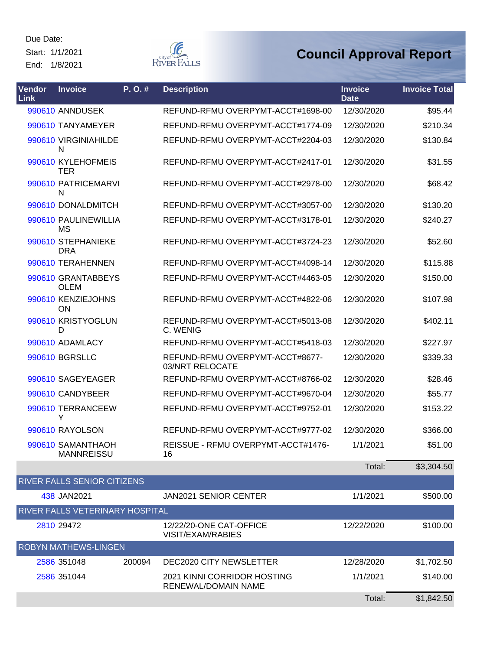Start: 1/1/2021 End: 1/8/2021



| <b>Vendor</b><br>Link | <b>Invoice</b>                         | P. O. # | <b>Description</b>                                 | <b>Invoice</b><br><b>Date</b> | <b>Invoice Total</b> |
|-----------------------|----------------------------------------|---------|----------------------------------------------------|-------------------------------|----------------------|
|                       | 990610 ANNDUSEK                        |         | REFUND-RFMU OVERPYMT-ACCT#1698-00                  | 12/30/2020                    | \$95.44              |
|                       | 990610 TANYAMEYER                      |         | REFUND-RFMU OVERPYMT-ACCT#1774-09                  | 12/30/2020                    | \$210.34             |
|                       | 990610 VIRGINIAHILDE<br>N              |         | REFUND-RFMU OVERPYMT-ACCT#2204-03                  | 12/30/2020                    | \$130.84             |
|                       | 990610 KYLEHOFMEIS<br><b>TER</b>       |         | REFUND-RFMU OVERPYMT-ACCT#2417-01                  | 12/30/2020                    | \$31.55              |
|                       | 990610 PATRICEMARVI<br>N               |         | REFUND-RFMU OVERPYMT-ACCT#2978-00                  | 12/30/2020                    | \$68.42              |
|                       | 990610 DONALDMITCH                     |         | REFUND-RFMU OVERPYMT-ACCT#3057-00                  | 12/30/2020                    | \$130.20             |
|                       | 990610 PAULINEWILLIA<br>MS             |         | REFUND-RFMU OVERPYMT-ACCT#3178-01                  | 12/30/2020                    | \$240.27             |
|                       | 990610 STEPHANIEKE<br><b>DRA</b>       |         | REFUND-RFMU OVERPYMT-ACCT#3724-23                  | 12/30/2020                    | \$52.60              |
|                       | 990610 TERAHENNEN                      |         | REFUND-RFMU OVERPYMT-ACCT#4098-14                  | 12/30/2020                    | \$115.88             |
|                       | 990610 GRANTABBEYS<br><b>OLEM</b>      |         | REFUND-RFMU OVERPYMT-ACCT#4463-05                  | 12/30/2020                    | \$150.00             |
|                       | 990610 KENZIEJOHNS<br>ON               |         | REFUND-RFMU OVERPYMT-ACCT#4822-06                  | 12/30/2020                    | \$107.98             |
|                       | 990610 KRISTYOGLUN<br>D                |         | REFUND-RFMU OVERPYMT-ACCT#5013-08<br>C. WENIG      | 12/30/2020                    | \$402.11             |
|                       | 990610 ADAMLACY                        |         | REFUND-RFMU OVERPYMT-ACCT#5418-03                  | 12/30/2020                    | \$227.97             |
|                       | 990610 BGRSLLC                         |         | REFUND-RFMU OVERPYMT-ACCT#8677-<br>03/NRT RELOCATE | 12/30/2020                    | \$339.33             |
|                       | 990610 SAGEYEAGER                      |         | REFUND-RFMU OVERPYMT-ACCT#8766-02                  | 12/30/2020                    | \$28.46              |
|                       | 990610 CANDYBEER                       |         | REFUND-RFMU OVERPYMT-ACCT#9670-04                  | 12/30/2020                    | \$55.77              |
|                       | 990610 TERRANCEEW<br>Y                 |         | REFUND-RFMU OVERPYMT-ACCT#9752-01                  | 12/30/2020                    | \$153.22             |
|                       | 990610 RAYOLSON                        |         | REFUND-RFMU OVERPYMT-ACCT#9777-02                  | 12/30/2020                    | \$366.00             |
|                       | 990610 SAMANTHAOH<br><b>MANNREISSU</b> |         | REISSUE - RFMU OVERPYMT-ACCT#1476-<br>16           | 1/1/2021                      | \$51.00              |
|                       |                                        |         |                                                    | Total:                        | \$3,304.50           |
|                       | RIVER FALLS SENIOR CITIZENS            |         |                                                    |                               |                      |
|                       | 438 JAN2021                            |         | <b>JAN2021 SENIOR CENTER</b>                       | 1/1/2021                      | \$500.00             |
|                       | RIVER FALLS VETERINARY HOSPITAL        |         |                                                    |                               |                      |
|                       | 2810 29472                             |         | 12/22/20-ONE CAT-OFFICE<br>VISIT/EXAM/RABIES       | 12/22/2020                    | \$100.00             |
|                       | <b>ROBYN MATHEWS-LINGEN</b>            |         |                                                    |                               |                      |
|                       | 2586 351048                            | 200094  | DEC2020 CITY NEWSLETTER                            | 12/28/2020                    | \$1,702.50           |
|                       | 2586 351044                            |         | 2021 KINNI CORRIDOR HOSTING<br>RENEWAL/DOMAIN NAME | 1/1/2021                      | \$140.00             |
|                       |                                        |         |                                                    | Total:                        | \$1,842.50           |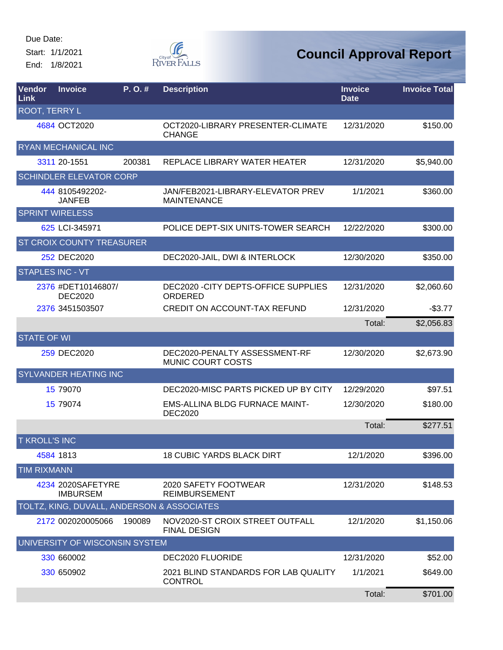Start: 1/1/2021 End: 1/8/2021



| Vendor<br>Link       | <b>Invoice</b>                             | P.O.#  | <b>Description</b>                                      | <b>Invoice</b><br><b>Date</b> | <b>Invoice Total</b> |
|----------------------|--------------------------------------------|--------|---------------------------------------------------------|-------------------------------|----------------------|
| <b>ROOT, TERRY L</b> |                                            |        |                                                         |                               |                      |
|                      | 4684 OCT2020                               |        | OCT2020-LIBRARY PRESENTER-CLIMATE<br><b>CHANGE</b>      | 12/31/2020                    | \$150.00             |
|                      | RYAN MECHANICAL INC                        |        |                                                         |                               |                      |
|                      | 3311 20-1551                               | 200381 | REPLACE LIBRARY WATER HEATER                            | 12/31/2020                    | \$5,940.00           |
|                      | <b>SCHINDLER ELEVATOR CORP</b>             |        |                                                         |                               |                      |
|                      | 444 8105492202-<br><b>JANFEB</b>           |        | JAN/FEB2021-LIBRARY-ELEVATOR PREV<br><b>MAINTENANCE</b> | 1/1/2021                      | \$360.00             |
|                      | <b>SPRINT WIRELESS</b>                     |        |                                                         |                               |                      |
|                      | 625 LCI-345971                             |        | POLICE DEPT-SIX UNITS-TOWER SEARCH                      | 12/22/2020                    | \$300.00             |
|                      | ST CROIX COUNTY TREASURER                  |        |                                                         |                               |                      |
|                      | 252 DEC2020                                |        | DEC2020-JAIL, DWI & INTERLOCK                           | 12/30/2020                    | \$350.00             |
|                      | <b>STAPLES INC - VT</b>                    |        |                                                         |                               |                      |
|                      | 2376 #DET10146807/<br><b>DEC2020</b>       |        | DEC2020 - CITY DEPTS-OFFICE SUPPLIES<br>ORDERED         | 12/31/2020                    | \$2,060.60           |
|                      | 2376 3451503507                            |        | <b>CREDIT ON ACCOUNT-TAX REFUND</b>                     | 12/31/2020                    | $-$3.77$             |
|                      |                                            |        |                                                         | Total:                        | \$2,056.83           |
| <b>STATE OF WI</b>   |                                            |        |                                                         |                               |                      |
|                      | 259 DEC2020                                |        | DEC2020-PENALTY ASSESSMENT-RF<br>MUNIC COURT COSTS      | 12/30/2020                    | \$2,673.90           |
|                      | <b>SYLVANDER HEATING INC</b>               |        |                                                         |                               |                      |
|                      | 15 79070                                   |        | DEC2020-MISC PARTS PICKED UP BY CITY                    | 12/29/2020                    | \$97.51              |
|                      | 15 79074                                   |        | <b>EMS-ALLINA BLDG FURNACE MAINT-</b><br><b>DEC2020</b> | 12/30/2020                    | \$180.00             |
|                      |                                            |        |                                                         | Total:                        | \$277.51             |
| <b>T KROLL'S INC</b> |                                            |        |                                                         |                               |                      |
|                      | 4584 1813                                  |        | <b>18 CUBIC YARDS BLACK DIRT</b>                        | 12/1/2020                     | \$396.00             |
| <b>TIM RIXMANN</b>   |                                            |        |                                                         |                               |                      |
|                      | 4234 2020SAFETYRE<br><b>IMBURSEM</b>       |        | 2020 SAFETY FOOTWEAR<br><b>REIMBURSEMENT</b>            | 12/31/2020                    | \$148.53             |
|                      | TOLTZ, KING, DUVALL, ANDERSON & ASSOCIATES |        |                                                         |                               |                      |
|                      | 2172 002020005066                          | 190089 | NOV2020-ST CROIX STREET OUTFALL<br><b>FINAL DESIGN</b>  | 12/1/2020                     | \$1,150.06           |
|                      | UNIVERSITY OF WISCONSIN SYSTEM             |        |                                                         |                               |                      |
|                      | 330 660002                                 |        | DEC2020 FLUORIDE                                        | 12/31/2020                    | \$52.00              |
|                      | 330 650902                                 |        | 2021 BLIND STANDARDS FOR LAB QUALITY<br><b>CONTROL</b>  | 1/1/2021                      | \$649.00             |
|                      |                                            |        |                                                         | Total:                        | \$701.00             |